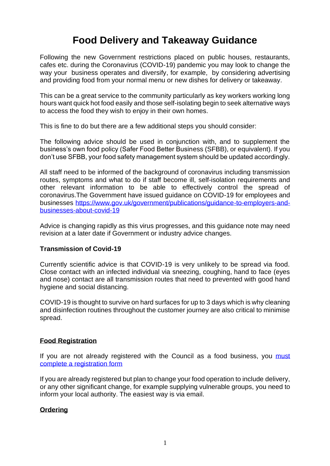# **Food Delivery and Takeaway Guidance**

Following the new Government restrictions placed on public houses, restaurants, cafes etc. during the Coronavirus (COVID-19) pandemic you may look to change the way your business operates and diversify, for example, by considering advertising and providing food from your normal menu or new dishes for delivery or takeaway.

This can be a great service to the community particularly as key workers working long hours want quick hot food easily and those self-isolating begin to seek alternative ways to access the food they wish to enjoy in their own homes.

This is fine to do but there are a few additional steps you should consider:

The following advice should be used in conjunction with, and to supplement the business's own food policy (Safer Food Better Business (SFBB), or equivalent). If you don't use SFBB, your food safety management system should be updated accordingly.

All staff need to be informed of the background of coronavirus including transmission routes, symptoms and what to do if staff become ill, self-isolation requirements and other relevant information to be able to effectively control the spread of coronavirus.The Government have issued guidance on COVID-19 for employees and businesses [https://www.gov.uk/government/publications/guidance-to-employers-and](https://www.gov.uk/government/publications/guidance-to-employers-and-businesses-about-covid-19)[businesses-about-covid-19](https://www.gov.uk/government/publications/guidance-to-employers-and-businesses-about-covid-19)

Advice is changing rapidly as this virus progresses, and this guidance note may need revision at a later date if Government or industry advice changes.

# **Transmission of Covid-19**

Currently scientific advice is that COVID-19 is very unlikely to be spread via food. Close contact with an infected individual via sneezing, coughing, hand to face (eyes and nose) contact are all transmission routes that need to prevented with good hand hygiene and social distancing.

COVID-19 is thought to survive on hard surfaces for up to 3 days which is why cleaning and disinfection routines throughout the customer journey are also critical to minimise spread.

# **Food Registration**

If you are not already registered with the Council as a food business, you must [complete a registration form](https://www.rctcbc.gov.uk/EN/Business/LicencesandPermits/Foodbusinesslicenceandregulations/FoodBusinessRegistration.aspx)

If you are already registered but plan to change your food operation to include delivery, or any other significant change, for example supplying vulnerable groups, you need to inform your local authority. The easiest way is via email.

# **Ordering**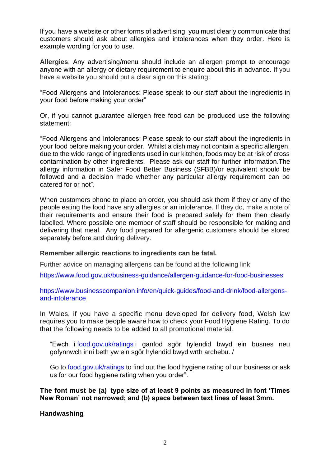If you have a website or other forms of advertising, you must clearly communicate that customers should ask about allergies and intolerances when they order. Here is example wording for you to use.

**Allergies**: Any advertising/menu should include an allergen prompt to encourage anyone with an allergy or dietary requirement to enquire about this in advance. If you have a website you should put a clear sign on this stating:

"Food Allergens and Intolerances: Please speak to our staff about the ingredients in your food before making your order"

Or, if you cannot guarantee allergen free food can be produced use the following statement:

"Food Allergens and Intolerances: Please speak to our staff about the ingredients in your food before making your order. Whilst a dish may not contain a specific allergen, due to the wide range of ingredients used in our kitchen, foods may be at risk of cross contamination by other ingredients. Please ask our staff for further information.The allergy information in Safer Food Better Business (SFBB)/or equivalent should be followed and a decision made whether any particular allergy requirement can be catered for or not".

When customers phone to place an order, you should ask them if they or any of the people eating the food have any allergies or an intolerance. If they do, make a note of their requirements and ensure their food is prepared safely for them then clearly labelled. Where possible one member of staff should be responsible for making and delivering that meal. Any food prepared for allergenic customers should be stored separately before and during delivery.

# **Remember allergic reactions to ingredients can be fatal.**

Further advice on managing allergens can be found at the following link:

<https://www.food.gov.uk/business-guidance/allergen-guidance-for-food-businesses>

[https://www.businesscompanion.info/en/quick-guides/food-and-drink/food-allergens](https://www.businesscompanion.info/en/quick-guides/food-and-drink/food-allergens-and-intolerance)[and-intolerance](https://www.businesscompanion.info/en/quick-guides/food-and-drink/food-allergens-and-intolerance)

In Wales, if you have a specific menu developed for delivery food, Welsh law requires you to make people aware how to check your Food Hygiene Rating. To do that the following needs to be added to all promotional material.

"Ewch i [food.gov.uk/ratings](https://eur03.safelinks.protection.outlook.com/?url=http%3A%2F%2Fwww.legislation.gov.uk%2Fwsi%2F2016%2F429%2Fregulation%2F3%2Fwww.food.gov.uk%2Fratings&data=02%7C01%7CNiaChappell%40monmouthshire.gov.uk%7C22e9671a28be49d6305608d7cb335144%7C2c4d0079c52c4bb3b3cad8eaf1b6b7d5%7C0%7C0%7C637201293571510406&sdata=roNdbdJVygprTROgHVv%2BO75i%2Bvb8xeiqGr9vjAg9n8I%3D&reserved=0) i ganfod sgôr hylendid bwyd ein busnes neu gofynnwch inni beth yw ein sgôr hylendid bwyd wrth archebu. /

Go to [food.gov.uk/ratings](https://eur03.safelinks.protection.outlook.com/?url=http%3A%2F%2Fwww.legislation.gov.uk%2Fwsi%2F2016%2F429%2Fregulation%2F3%2Fwww.food.gov.uk%2Fratings&data=02%7C01%7CNiaChappell%40monmouthshire.gov.uk%7C22e9671a28be49d6305608d7cb335144%7C2c4d0079c52c4bb3b3cad8eaf1b6b7d5%7C0%7C0%7C637201293571520404&sdata=tId7J32vJRfvIig%2FeS9gojYZHZ1%2FEGq%2BLTkVTeOTuL8%3D&reserved=0) to find out the food hygiene rating of our business or ask us for our food hygiene rating when you order".

**The font must be (a) type size of at least 9 points as measured in font 'Times New Roman' not narrowed; and (b) space between text lines of least 3mm.**

**Handwashing**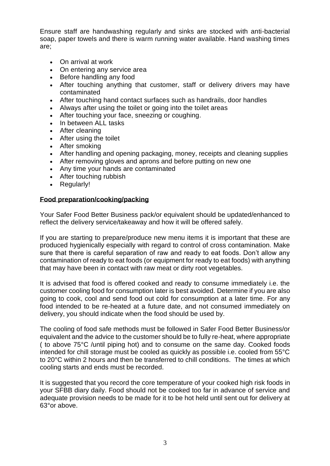Ensure staff are handwashing regularly and sinks are stocked with anti-bacterial soap, paper towels and there is warm running water available. Hand washing times are;

- On arrival at work
- On entering any service area
- Before handling any food
- After touching anything that customer, staff or delivery drivers may have contaminated
- After touching hand contact surfaces such as handrails, door handles
- Always after using the toilet or going into the toilet areas
- After touching your face, sneezing or coughing.
- In between ALL tasks
- After cleaning
- After using the toilet
- After smoking
- After handling and opening packaging, money, receipts and cleaning supplies
- After removing gloves and aprons and before putting on new one
- Any time your hands are contaminated
- After touching rubbish
- Regularly!

# **Food preparation/cooking/packing**

Your Safer Food Better Business pack/or equivalent should be updated/enhanced to reflect the delivery service/takeaway and how it will be offered safely.

If you are starting to prepare/produce new menu items it is important that these are produced hygienically especially with regard to control of cross contamination. Make sure that there is careful separation of raw and ready to eat foods. Don't allow any contamination of ready to eat foods (or equipment for ready to eat foods) with anything that may have been in contact with raw meat or dirty root vegetables.

It is advised that food is offered cooked and ready to consume immediately i.e. the customer cooling food for consumption later is best avoided. Determine if you are also going to cook, cool and send food out cold for consumption at a later time. For any food intended to be re-heated at a future date, and not consumed immediately on delivery, you should indicate when the food should be used by.

The cooling of food safe methods must be followed in Safer Food Better Business/or equivalent and the advice to the customer should be to fully re-heat, where appropriate ( to above 75°C /until piping hot) and to consume on the same day. Cooked foods intended for chill storage must be cooled as quickly as possible i.e. cooled from 55°C to 20°C within 2 hours and then be transferred to chill conditions. The times at which cooling starts and ends must be recorded.

It is suggested that you record the core temperature of your cooked high risk foods in your SFBB diary daily. Food should not be cooked too far in advance of service and adequate provision needs to be made for it to be hot held until sent out for delivery at 63°or above.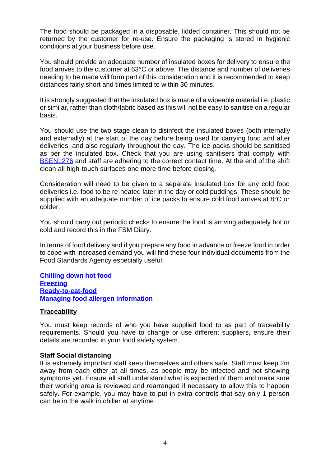The food should be packaged in a disposable, lidded container. This should not be returned by the customer for re-use. Ensure the packaging is stored in hygienic conditions at your business before use.

You should provide an adequate number of insulated boxes for delivery to ensure the food arrives to the customer at 63°C or above. The distance and number of deliveries needing to be made will form part of this consideration and it is recommended to keep distances fairly short and times limited to within 30 minutes.

It is strongly suggested that the insulated box is made of a wipeable material i.e. plastic or similar, rather than cloth/fabric based as this will not be easy to sanitise on a regular basis.

You should use the two stage clean to disinfect the insulated boxes (both internally and externally) at the start of the day before being used for carrying food and after deliveries, and also regularly throughout the day. The ice packs should be sanitised as per the insulated box. Check that you are using sanitisers that comply with [BSEN1276](http://www.disinfectant-info.co.uk/) and staff are adhering to the correct contact time. At the end of the shift clean all high-touch surfaces one more time before closing.

Consideration will need to be given to a separate insulated box for any cold food deliveries i.e. food to be re-heated later in the day or cold puddings. These should be supplied with an adequate number of ice packs to ensure cold food arrives at 8°C or colder.

You should carry out periodic checks to ensure the food is arriving adequately hot or cold and record this in the FSM Diary.

In terms of food delivery and if you prepare any food in advance or freeze food in order to cope with increased demand you will find these four individual documents from the Food Standards Agency especially useful;

**[Chilling down hot food](https://www.food.gov.uk/sites/default/files/media/document/sfbb-chilling-02-chilling-down-hot-food.pdf) [Freezing](https://www.food.gov.uk/sites/default/files/media/document/sfbb-chilling-04-freezing.pdf) [Ready-to-eat-food](https://www.food.gov.uk/sites/default/files/media/document/sfbb-caterer-cooking-07-ready-to-eat-food.pdf) [Managing food allergen information](https://www.food.gov.uk/sites/default/files/media/document/sfbb-management-03-managing-food-allergen-information_2.pdf)**

#### **Traceability**

You must keep records of who you have supplied food to as part of traceability requirements. Should you have to change or use different suppliers, ensure their details are recorded in your food safety system.

#### **Staff Social distancing**

It is extremely important staff keep themselves and others safe. Staff must keep 2m away from each other at all times, as people may be infected and not showing symptoms yet. Ensure all staff understand what is expected of them and make sure their working area is reviewed and rearranged if necessary to allow this to happen safely. For example, you may have to put in extra controls that say only 1 person can be in the walk in chiller at anytime.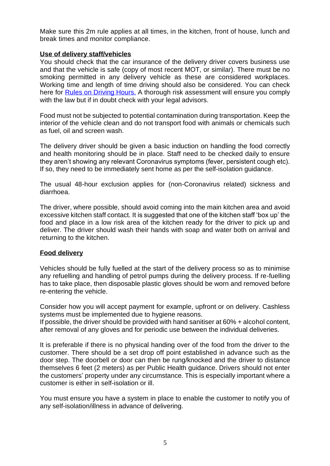Make sure this 2m rule applies at all times, in the kitchen, front of house, lunch and break times and monitor compliance.

# **Use of delivery staff/vehicles**

You should check that the car insurance of the delivery driver covers business use and that the vehicle is safe (copy of most recent MOT, or similar). There must be no smoking permitted in any delivery vehicle as these are considered workplaces. Working time and length of time driving should also be considered. You can check here for [Rules on Driving Hours.](https://www.gov.uk/drivers-hours/eu-rules) A thorough risk assessment will ensure you comply with the law but if in doubt check with your legal advisors.

Food must not be subjected to potential contamination during transportation. Keep the interior of the vehicle clean and do not transport food with animals or chemicals such as fuel, oil and screen wash.

The delivery driver should be given a basic induction on handling the food correctly and health monitoring should be in place. Staff need to be checked daily to ensure they aren't showing any relevant Coronavirus symptoms (fever, persistent cough etc). If so, they need to be immediately sent home as per the self-isolation guidance.

The usual 48-hour exclusion applies for (non-Coronavirus related) sickness and diarrhoea.

The driver, where possible, should avoid coming into the main kitchen area and avoid excessive kitchen staff contact. It is suggested that one of the kitchen staff 'box up' the food and place in a low risk area of the kitchen ready for the driver to pick up and deliver. The driver should wash their hands with soap and water both on arrival and returning to the kitchen.

# **Food delivery**

Vehicles should be fully fuelled at the start of the delivery process so as to minimise any refuelling and handling of petrol pumps during the delivery process. If re-fuelling has to take place, then disposable plastic gloves should be worn and removed before re-entering the vehicle.

Consider how you will accept payment for example, upfront or on delivery. Cashless systems must be implemented due to hygiene reasons.

If possible, the driver should be provided with hand sanitiser at 60% + alcohol content, after removal of any gloves and for periodic use between the individual deliveries.

It is preferable if there is no physical handing over of the food from the driver to the customer. There should be a set drop off point established in advance such as the door step. The doorbell or door can then be rung/knocked and the driver to distance themselves 6 feet (2 meters) as per Public Health guidance. Drivers should not enter the customers' property under any circumstance. This is especially important where a customer is either in self-isolation or ill.

You must ensure you have a system in place to enable the customer to notify you of any self-isolation/illness in advance of delivering.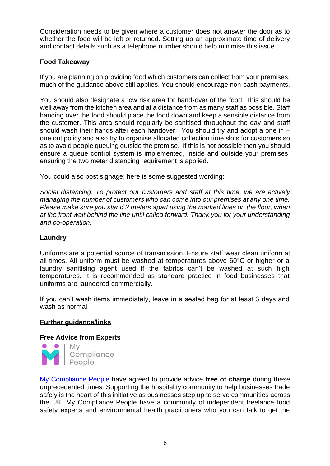Consideration needs to be given where a customer does not answer the door as to whether the food will be left or returned. Setting up an approximate time of delivery and contact details such as a telephone number should help minimise this issue.

# **Food Takeaway**

If you are planning on providing food which customers can collect from your premises, much of the guidance above still applies. You should encourage non-cash payments.

You should also designate a low risk area for hand-over of the food. This should be well away from the kitchen area and at a distance from as many staff as possible. Staff handing over the food should place the food down and keep a sensible distance from the customer. This area should regularly be sanitised throughout the day and staff should wash their hands after each handover. You should try and adopt a one in – one out policy and also try to organise allocated collection time slots for customers so as to avoid people queuing outside the premise. If this is not possible then you should ensure a queue control system is implemented, inside and outside your premises, ensuring the two meter distancing requirement is applied.

You could also post signage; here is some suggested wording:

*Social distancing. To protect our customers and staff at this time, we are actively managing the number of customers who can come into our premises at any one time. Please make sure you stand 2 meters apart using the marked lines on the floor, when at the front wait behind the line until called forward. Thank you for your understanding and co-operation.*

# **Laundry**

Uniforms are a potential source of transmission. Ensure staff wear clean uniform at all times. All uniform must be washed at temperatures above 60°C or higher or a laundry sanitising agent used if the fabrics can't be washed at such high temperatures. It is recommended as standard practice in food businesses that uniforms are laundered commercially.

If you can't wash items immediately, leave in a sealed bag for at least 3 days and wash as normal.

# **Further guidance/links**

# **Free Advice from Experts**



[My Compliance People](https://www.mycompliancepeople.com/) have agreed to provide advice **free of charge** during these unprecedented times. Supporting the hospitality community to help businesses trade safely is the heart of this initiative as businesses step up to serve communities across the UK. My Compliance People have a community of independent freelance food safety experts and environmental health practitioners who you can talk to get the